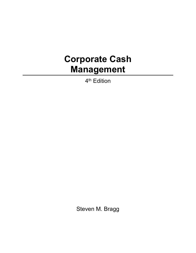## **Corporate Cash Management**

4<sup>th</sup> Edition

Steven M. Bragg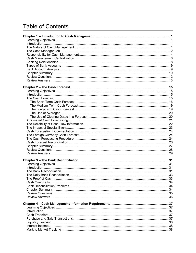## **Table of Contents**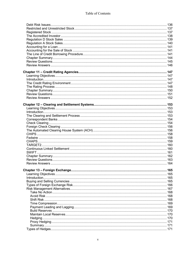| 169 |
|-----|
| 170 |
| 170 |
|     |
| 171 |
|     |
|     |
|     |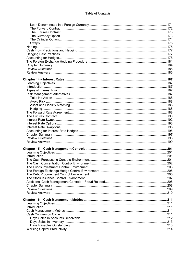| 211 |  |
|-----|--|
|     |  |
|     |  |
|     |  |
|     |  |
|     |  |
|     |  |
|     |  |
|     |  |
|     |  |
|     |  |
|     |  |
|     |  |
|     |  |
|     |  |
|     |  |
|     |  |
|     |  |
|     |  |
|     |  |
|     |  |
|     |  |
|     |  |
|     |  |
|     |  |
|     |  |
|     |  |
|     |  |
|     |  |
|     |  |
|     |  |
|     |  |
|     |  |
|     |  |
|     |  |
|     |  |
|     |  |
|     |  |
|     |  |
|     |  |
|     |  |
|     |  |
|     |  |
|     |  |
|     |  |
|     |  |
|     |  |
|     |  |
|     |  |
|     |  |
|     |  |
|     |  |
|     |  |
|     |  |
|     |  |